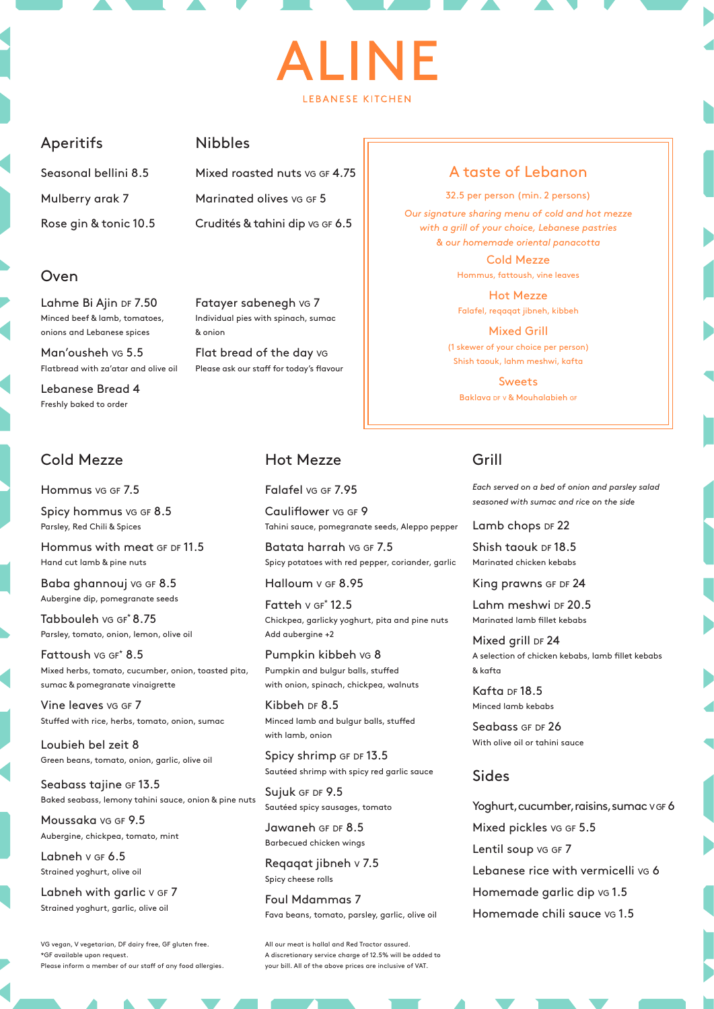# I INF **I FRANESE KITCHEN**

#### Aperitifs

Seasonal bellini 8.5 Mulberry arak 7 Rose gin & tonic 10.5

#### Oven

Lahme Bi Ajin DF 7.50 Minced beef & lamb, tomatoes, onions and Lebanese spices

Man'ousheh vg 5.5 Flatbread with za'atar and olive oil

Lebanese Bread 4 Freshly baked to order

#### Cold Mezze

Hommus vg GF 7.5

Spicy hommus vg GF 8.5 Parsley, Red Chili & Spices

Hommus with meat GF DF 11.5 Hand cut lamb & pine nuts

Baba ghannouj va GF 8.5 Aubergine dip, pomegranate seeds

Tabbouleh vg gf\* 8.75 Parsley, tomato, onion, lemon, olive oil

Fattoush vg GF<sup>\*</sup> 8.5 Mixed herbs, tomato, cucumber, onion, toasted pita, sumac & pomegranate vinaigrette

Vine leaves vg GF 7 Stuffed with rice, herbs, tomato, onion, sumac

Loubieh bel zeit 8 Green beans, tomato, onion, garlic, olive oil

Seabass tajine GF 13.5 Baked seabass, lemony tahini sauce, onion & pine nuts

Moussaka vg GF 9.5 Aubergine, chickpea, tomato, mint

Labneh v GF 6.5 Strained yoghurt, olive oil

Labneh with garlic v GF 7 Strained yoghurt, garlic, olive oil

VG vegan, V vegetarian, DF dairy free, GF gluten free. \*GF available upon request. Please inform a member of our staff of any food allergies.

## Nibbles

Mixed roasted nuts vg gf 4.75 Marinated olives vg GF 5 Crudités & tahini dip vg GF 6.5

Fatayer sabenegh vg 7 Individual pies with spinach, sumac & onion

Flat bread of the day vg Please ask our staff for today's flavour

#### Hot Mezze

Falafel vg GF 7.95

Cauliflower vg GF 9 Tahini sauce, pomegranate seeds, Aleppo pepper

Batata harrah vg GF 7.5 Spicy potatoes with red pepper, coriander, garlic

Halloum v GF 8.95

Fatteh  $v$  GF $*$  12.5 Chickpea, garlicky yoghurt, pita and pine nuts Add aubergine +2

Pumpkin kibbeh vg 8 Pumpkin and bulgur balls, stuffed with onion, spinach, chickpea, walnuts

Kibbeh DF 8.5 Minced lamb and bulgur balls, stuffed with lamb, onion

Spicy shrimp GF DF 13.5 Sautéed shrimp with spicy red garlic sauce

Sujuk GF DF 9.5 Sautéed spicy sausages, tomato

Jawaneh GF DF 8.5 Barbecued chicken wings

Reqaqat jibneh <sup>v</sup> 7.5 Spicy cheese rolls

Foul Mdammas 7 Fava beans, tomato, parsley, garlic, olive oil

All our meat is hallal and Red Tractor assured. A discretionary service charge of 12.5% will be added to your bill. All of the above prices are inclusive of VAT.

## A taste of Lebanon

32.5 per person (min. 2 persons)

*Our signature sharing menu of cold and hot mezze with a grill of your choice, Lebanese pastries & our homemade oriental panacotta*

> Cold Mezze Hommus, fattoush, vine leaves

Hot Mezze Falafel, reqaqat jibneh, kibbeh

Mixed Grill (1 skewer of your choice per person) Shish taouk, lahm meshwi, kafta

Sweets Baklava DF v & Mouhalabieh GF

## Grill

*Each served on a bed of onion and parsley salad seasoned with sumac and rice on the side* 

Lamb chops DF 22

Shish taouk DF 18.5 Marinated chicken kebabs

King prawns GF DF 24

Lahm meshwi DF 20.5 Marinated lamb fillet kebabs

Mixed grill DF 24 A selection of chicken kebabs, lamb fillet kebabs & kafta

Kafta DF 18.5 Minced lamb kebabs

Seabass GF DF 26 With olive oil or tahini sauce

### Sides

Yoghurt, cucumber, raisins, sumac v GF 6 Mixed pickles vg GF 5.5 Lentil soup vg GF 7 Lebanese rice with vermicelli vg 6 Homemade garlic dip vg 1.5 Homemade chili sauce vg 1.5